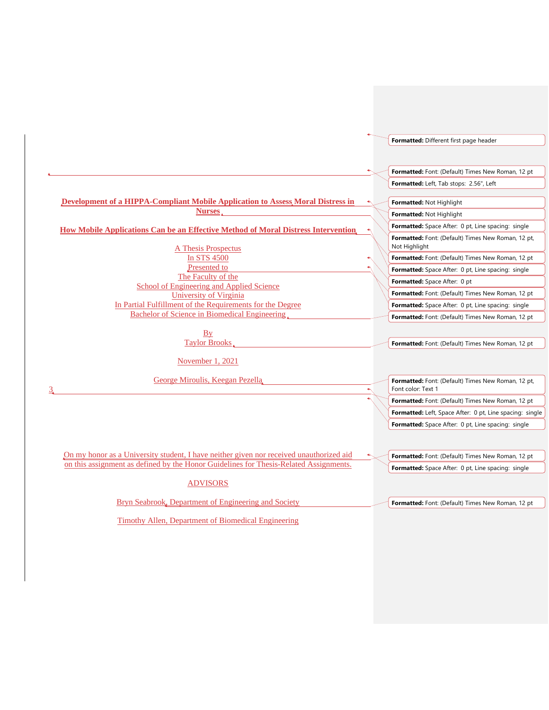#### **Development of a HIPPA-Compliant Mobile Application to Assess Moral Distress in Nurses How Mobile Applications Can be an Effective Method of Moral Distress Intervention** A Thesis Prospectus In STS 4500 Presented to The Faculty of the School of Engineering and Applied Science University of Virginia In Partial Fulfillment of the Requirements for the Degree Bachelor of Science in Biomedical Engineering **By** Taylor Brooks November 1, 2021 George Miroulis, Keegan Pezella 3 On my honor as a University student, I have neither given nor received unauthorized aid on this assignment as defined by the Honor Guidelines for Thesis-Related Assignments. ADVISORS Bryn Seabrook, Department of Engineering and Society **Formatted:** Different first page header **Formatted:** Font: (Default) Times New Roman, 12 pt **Formatted:** Left, Tab stops: 2.56", Left **Formatted:** Not Highlight **Formatted:** Space After: 0 pt, Line spacing: single **Formatted:** Not Highlight **Formatted:** Font: (Default) Times New Roman, 12 pt, Not Highlight **Formatted:** Space After: 0 pt, Line spacing: single **Formatted:** Font: (Default) Times New Roman, 12 pt **Formatted:** Space After: 0 pt **Formatted:** Font: (Default) Times New Roman, 12 pt **Formatted:** Space After: 0 pt, Line spacing: single **Formatted:** Font: (Default) Times New Roman, 12 pt **Formatted:** Font: (Default) Times New Roman, 12 pt **Formatted:** Font: (Default) Times New Roman, 12 pt, Font color: Text 1 **Formatted:** Left, Space After: 0 pt, Line spacing: single **Formatted:** Font: (Default) Times New Roman, 12 pt **Formatted:** Space After: 0 pt, Line spacing: single **Formatted:** Font: (Default) Times New Roman, 12 pt **Formatted:** Space After: 0 pt, Line spacing: single **Formatted:** Font: (Default) Times New Roman, 12 pt

Timothy Allen, Department of Biomedical Engineering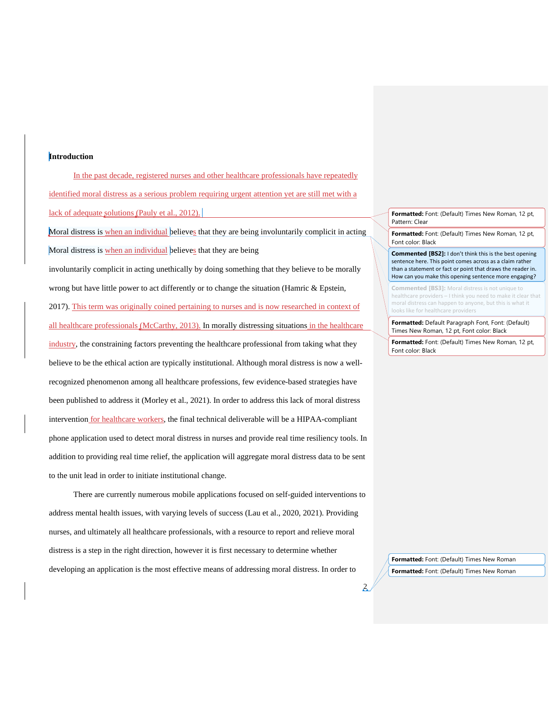#### **Introduction**

In the past decade, registered nurses and other healthcare professionals have repeatedly identified moral distress as a serious problem requiring urgent attention yet are still met with a lack of adequate solutions [\(Pauly et al., 2012\).](https://www.zotero.org/google-docs/?Z8okF8)

Moral distress is when an individual believes that they are being involuntarily complicit in acting Moral distress is when an individual believes that they are being

involuntarily complicit in acting unethically by doing something that they believe to be morally wrong but have little power to act differently or to change the situation [\(Hamric & Epstein,](https://www.zotero.org/google-docs/?unKuai) 

[2017\).](https://www.zotero.org/google-docs/?unKuai) This term was originally coined pertaining to nurses and is now researched in context of all healthcare professionals [\(McCarthy, 2013\).](https://www.zotero.org/google-docs/?D7O0qS) In morally distressing situations in the healthcare industry, the constraining factors preventing the healthcare professional from taking what they believe to be the ethical action are typically institutional. Although moral distress is now a wellrecognized phenomenon among all healthcare professions, few evidence-based strategies have been published to address it [\(Morley et al., 2021\).](https://www.zotero.org/google-docs/?VIE95M) In order to address this lack of moral distress intervention for healthcare workers, the final technical deliverable will be a HIPAA-compliant phone application used to detect moral distress in nurses and provide real time resiliency tools. In addition to providing real time relief, the application will aggregate moral distress data to be sent to the unit lead in order to initiate institutional change.

There are currently numerous mobile applications focused on self-guided interventions to address mental health issues, with varying levels of success [\(Lau et al., 2020, 2021\).](https://www.zotero.org/google-docs/?IznZHp) Providing nurses, and ultimately all healthcare professionals, with a resource to report and relieve moral distress is a step in the right direction, however it is first necessary to determine whether developing an application is the most effective means of addressing moral distress. In order to

**Formatted:** Font: (Default) Times New Roman, 12 pt, Pattern: Clear

**Formatted:** Font: (Default) Times New Roman, 12 pt, Font color: Black

**Commented [BS2]:** I don't think this is the best opening sentence here. This point comes across as a claim rather than a statement or fact or point that draws the reader in. How can you make this opening sentence more engaging?

**Commented [BS3]:** Moral distress is not unique to healthcare providers – I think you need to make it clear that moral distress can happen to anyone, but this is what it looks like for healthcare providers

**Formatted:** Default Paragraph Font, Font: (Default) Times New Roman, 12 pt, Font color: Black

**Formatted:** Font: (Default) Times New Roman, 12 pt, Font color: Black

**Formatted:** Font: (Default) Times New Roman **Formatted:** Font: (Default) Times New Roman

 $\mathbf{z}$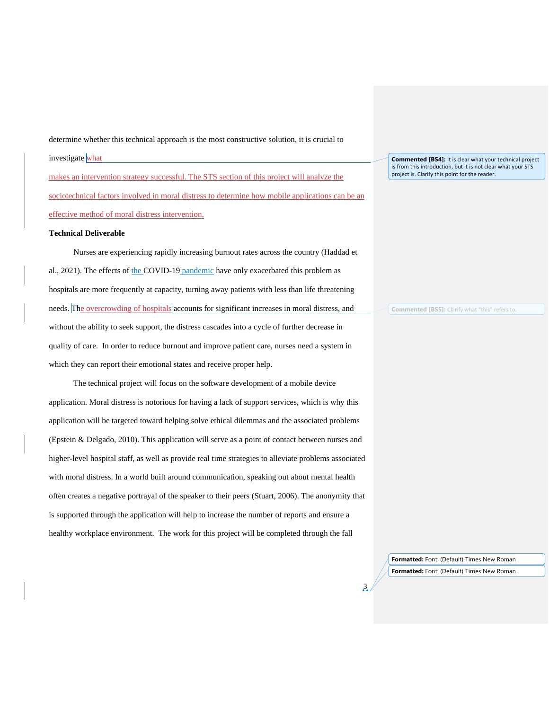determine whether this technical approach is the most constructive solution, it is crucial to investigate what makes an intervention strategy successful. The STS section of this project will analyze the sociotechnical factors involved in moral distress to determine how mobile applications can be an effective method of moral distress intervention.

### **Technical Deliverable**

Nurses are experiencing rapidly increasing burnout rates across the country (Haddad et al., 2021). The effects of the COVID-19 pandemic have only exacerbated this problem as hospitals are more frequently at capacity, turning away patients with less than life threatening needs. The overcrowding of hospitals accounts for significant increases in moral distress, and without the ability to seek support, the distress cascades into a cycle of further decrease in quality of care. In order to reduce burnout and improve patient care, nurses need a system in which they can report their emotional states and receive proper help.

The technical project will focus on the software development of a mobile device application. Moral distress is notorious for having a lack of support services, which is why this application will be targeted toward helping solve ethical dilemmas and the associated problems (Epstein & Delgado, 2010). This application will serve as a point of contact between nurses and higher-level hospital staff, as well as provide real time strategies to alleviate problems associated with moral distress. In a world built around communication, speaking out about mental health often creates a negative portrayal of the speaker to their peers (Stuart, 2006). The anonymity that is supported through the application will help to increase the number of reports and ensure a healthy workplace environment. The work for this project will be completed through the fall

**Commented [BS4]:** It is clear what your technical project is from this introduction, but it is not clear what your STS project is. Clarify this point for the reader.

**Commented [BS5]:** Clarify what "this" refers to.

**Formatted:** Font: (Default) Times New Roman **Formatted:** Font: (Default) Times New Roman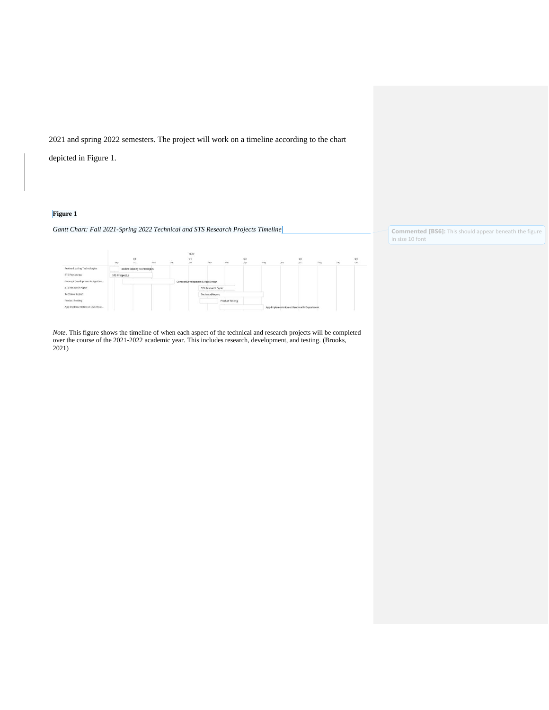2021 and spring 2022 semesters. The project will work on a timeline according to the chart

depicted in Figure 1.

## **Figure 1**

### *Gantt Chart: Fall 2021-Spring 2022 Technical and STS Research Projects Timeline*

|                                | <b>SOF</b><br>Sep     |  | Q4<br>Oct                    | Nov | 322<br>'Dec | 2022<br>Q1<br>tien | Feb                              | $_{\text{Mar}}$ | Q2<br>Apr | May | <b>Bury</b> | Q3<br><b>Jul</b>                            | Azen | $\sim$<br>Seis | Q4<br>Oct |
|--------------------------------|-----------------------|--|------------------------------|-----|-------------|--------------------|----------------------------------|-----------------|-----------|-----|-------------|---------------------------------------------|------|----------------|-----------|
|                                | ----                  |  |                              |     |             |                    |                                  |                 |           |     |             |                                             |      |                |           |
| Review Existing Technologies   |                       |  | Review Existing Technologies |     |             |                    |                                  |                 |           |     |             |                                             |      |                |           |
| STS Prospectus                 | <b>STS Prospectus</b> |  |                              |     |             |                    |                                  |                 |           |     |             |                                             |      |                |           |
| Concept Development & App Des  |                       |  |                              |     |             |                    | Concept Development & App Design |                 |           |     |             |                                             |      |                |           |
| STS Research Paper             |                       |  |                              |     |             |                    | STS Research Paper               |                 |           |     |             |                                             |      |                |           |
| <b>Technical Report</b>        |                       |  |                              |     |             |                    | <b>Technical Report</b>          |                 |           |     |             |                                             |      |                |           |
| Product Testing                |                       |  |                              |     |             |                    |                                  | Product Testing |           |     |             |                                             |      |                |           |
| App Implementation at UVA Heal |                       |  |                              |     |             |                    |                                  |                 |           |     |             | App Implementation at UVA Health Department |      |                |           |

*Note.* This figure shows the timeline of when each aspect of the technical and research projects will be completed over the course of the 2021-2022 academic year. This includes research, development, and testing. (Brooks, 2021)

**Commented [BS6]:** This should appear beneath the figure in size 10 font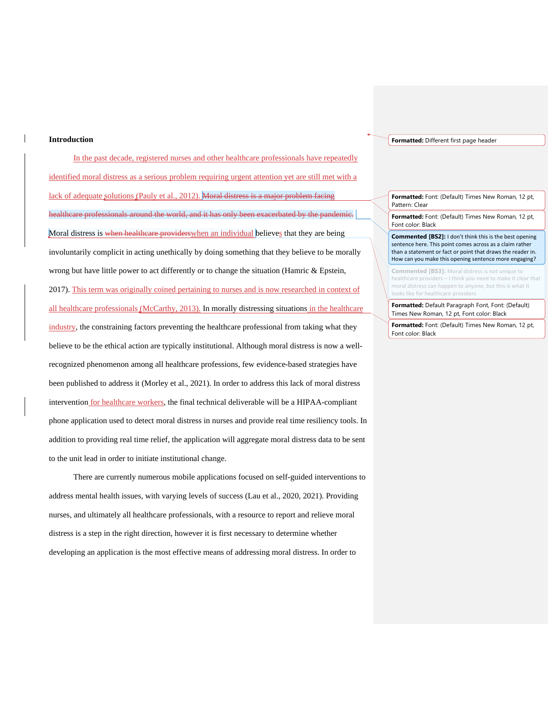#### **Introduction**

In the past decade, registered nurses and other healthcare professionals have repeatedly identified moral distress as a serious problem requiring urgent attention yet are still met with a lack of adequate solutions [\(Pauly et al., 2012\).](https://www.zotero.org/google-docs/?Z8okF8) Moral distress is a major problem facing healthcare professionals around the world, and it has only been exacerbated by the pandemic. Moral distress is when healthcare providers when an individual believes that they are being involuntarily complicit in acting unethically by doing something that they believe to be morally wrong but have little power to act differently or to change the situation [\(Hamric & Epstein,](https://www.zotero.org/google-docs/?unKuai)  [2017\).](https://www.zotero.org/google-docs/?unKuai) This term was originally coined pertaining to nurses and is now researched in context of all healthcare professionals [\(McCarthy, 2013\).](https://www.zotero.org/google-docs/?D7O0qS) In morally distressing situations in the healthcare industry, the constraining factors preventing the healthcare professional from taking what they believe to be the ethical action are typically institutional. Although moral distress is now a wellrecognized phenomenon among all healthcare professions, few evidence-based strategies have been published to address it [\(Morley et al., 2021\).](https://www.zotero.org/google-docs/?VIE95M) In order to address this lack of moral distress intervention for healthcare workers, the final technical deliverable will be a HIPAA-compliant phone application used to detect moral distress in nurses and provide real time resiliency tools. In addition to providing real time relief, the application will aggregate moral distress data to be sent to the unit lead in order to initiate institutional change.

There are currently numerous mobile applications focused on self-guided interventions to address mental health issues, with varying levels of success [\(Lau et al., 2020, 2021\).](https://www.zotero.org/google-docs/?IznZHp) Providing nurses, and ultimately all healthcare professionals, with a resource to report and relieve moral distress is a step in the right direction, however it is first necessary to determine whether developing an application is the most effective means of addressing moral distress. In order to

#### **Formatted:** Different first page header

**Formatted:** Font: (Default) Times New Roman, 12 pt, Pattern: Clear

**Formatted:** Font: (Default) Times New Roman, 12 pt, Font color: Black

**Commented [BS2]:** I don't think this is the best opening sentence here. This point comes across as a claim rather than a statement or fact or point that draws the reader in. How can you make this opening sentence more engaging?

**Commented [BS3]:** Moral distress is not unique to healthcare providers – I think you need to make it clear that moral distress can happen to anyone, but this is what it ooks like for healthcare providers

**Formatted:** Default Paragraph Font, Font: (Default) Times New Roman, 12 pt, Font color: Black

**Formatted:** Font: (Default) Times New Roman, 12 pt, Font color: Black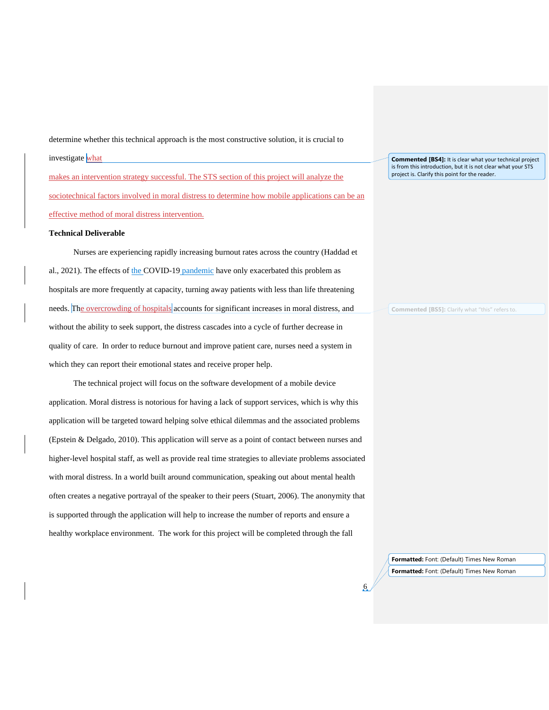determine whether this technical approach is the most constructive solution, it is crucial to investigate what makes an intervention strategy successful. The STS section of this project will analyze the sociotechnical factors involved in moral distress to determine how mobile applications can be an effective method of moral distress intervention.

### **Technical Deliverable**

Nurses are experiencing rapidly increasing burnout rates across the country (Haddad et al., 2021). The effects of the COVID-19 pandemic have only exacerbated this problem as hospitals are more frequently at capacity, turning away patients with less than life threatening needs. The overcrowding of hospitals accounts for significant increases in moral distress, and without the ability to seek support, the distress cascades into a cycle of further decrease in quality of care. In order to reduce burnout and improve patient care, nurses need a system in which they can report their emotional states and receive proper help.

The technical project will focus on the software development of a mobile device application. Moral distress is notorious for having a lack of support services, which is why this application will be targeted toward helping solve ethical dilemmas and the associated problems (Epstein & Delgado, 2010). This application will serve as a point of contact between nurses and higher-level hospital staff, as well as provide real time strategies to alleviate problems associated with moral distress. In a world built around communication, speaking out about mental health often creates a negative portrayal of the speaker to their peers (Stuart, 2006). The anonymity that is supported through the application will help to increase the number of reports and ensure a healthy workplace environment. The work for this project will be completed through the fall

**Commented [BS4]:** It is clear what your technical project is from this introduction, but it is not clear what your STS project is. Clarify this point for the reader.

**Commented [BS5]:** Clarify what "this" refers to.

**Formatted:** Font: (Default) Times New Roman **Formatted:** Font: (Default) Times New Roman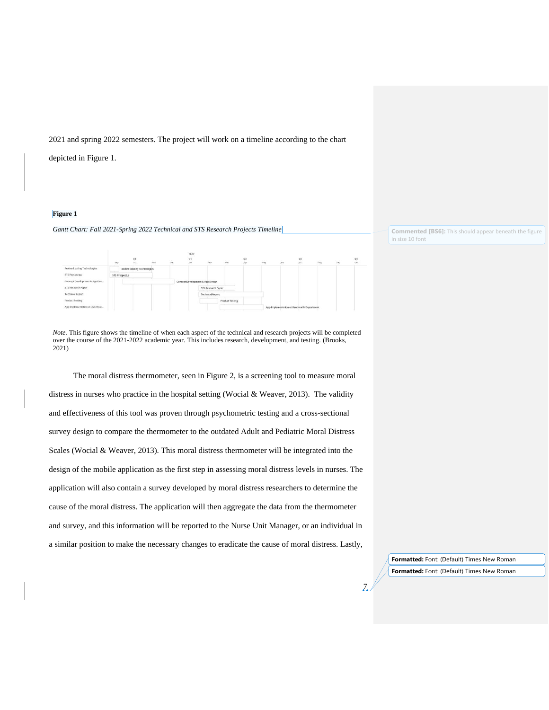2021 and spring 2022 semesters. The project will work on a timeline according to the chart

depicted in Figure 1.

### **Figure 1**

#### *Gantt Chart: Fall 2021-Spring 2022 Technical and STS Research Projects Timeline*

|                                | Šep |                       | Q4<br>Oct                    | Nov | bec | 2022<br>Q1<br>ten. | Feb.                             | Mar                     | Q2<br>Apr | May | <b>Bun</b> | Q3<br><b>Jul</b>                            | $\sim$<br>Sep | Q4<br>$_{\text{oct}}$ |
|--------------------------------|-----|-----------------------|------------------------------|-----|-----|--------------------|----------------------------------|-------------------------|-----------|-----|------------|---------------------------------------------|---------------|-----------------------|
| Review Existing Technologies   |     |                       | Review Existing Technologies |     |     |                    |                                  |                         |           |     |            |                                             |               |                       |
| STS Prospectus                 |     | <b>STS Prospectus</b> |                              |     |     |                    |                                  |                         |           |     |            |                                             |               |                       |
| Concept Development & App Des  |     |                       |                              |     |     |                    | Concept Development & App Design |                         |           |     |            |                                             |               |                       |
| STS Research Paper             |     |                       |                              |     |     |                    | STS Research Paper               |                         |           |     |            |                                             |               |                       |
| <b>Technical Report</b>        |     |                       |                              |     |     |                    |                                  | <b>Technical Report</b> |           |     |            |                                             |               |                       |
| Product Testing                |     |                       |                              |     |     |                    |                                  | Product Testing         |           |     |            |                                             |               |                       |
| App Implementation at UVA Heal |     |                       |                              |     |     |                    |                                  |                         |           |     |            | App Implementation at UVA Health Department |               |                       |

*Note.* This figure shows the timeline of when each aspect of the technical and research projects will be completed over the course of the 2021-2022 academic year. This includes research, development, and testing. (Brooks, 2021)

The moral distress thermometer, seen in Figure 2, is a screening tool to measure moral distress in nurses who practice in the hospital setting (Wocial & Weaver, 2013). The validity and effectiveness of this tool was proven through psychometric testing and a cross-sectional survey design to compare the thermometer to the outdated Adult and Pediatric Moral Distress Scales (Wocial & Weaver, 2013). This moral distress thermometer will be integrated into the design of the mobile application as the first step in assessing moral distress levels in nurses. The application will also contain a survey developed by moral distress researchers to determine the cause of the moral distress. The application will then aggregate the data from the thermometer and survey, and this information will be reported to the Nurse Unit Manager, or an individual in a similar position to make the necessary changes to eradicate the cause of moral distress. Lastly, **Commented [BS6]:** This should appear beneath the figure in size 10 font

**Formatted:** Font: (Default) Times New Roman **Formatted:** Font: (Default) Times New Roman

 $\sqrt{2}$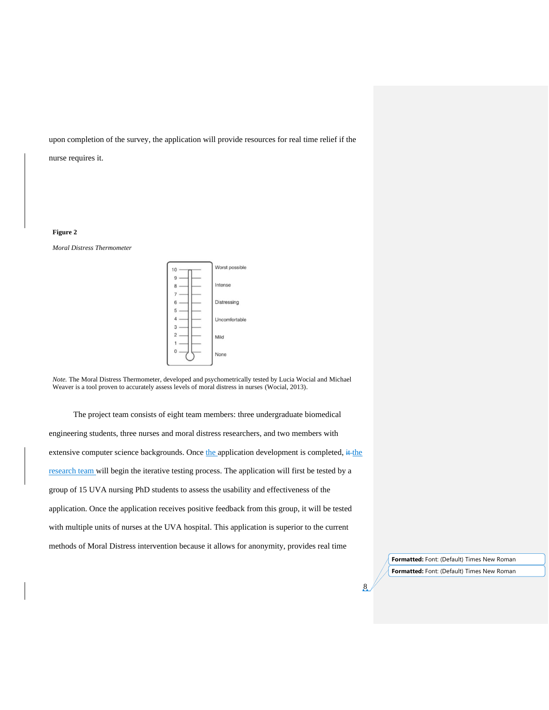upon completion of the survey, the application will provide resources for real time relief if the

nurse requires it.

## **Figure 2**

*Moral Distress Thermometer*



*Note.* The Moral Distress Thermometer, developed and psychometrically tested by Lucia Wocial and Michael Weaver is a tool proven to accurately assess levels of moral distress in nurses (Wocial, 2013).

The project team consists of eight team members: three undergraduate biomedical engineering students, three nurses and moral distress researchers, and two members with extensive computer science backgrounds. Once the application development is completed,  $#$ the research team will begin the iterative testing process. The application will first be tested by a group of 15 UVA nursing PhD students to assess the usability and effectiveness of the application. Once the application receives positive feedback from this group, it will be tested with multiple units of nurses at the UVA hospital. This application is superior to the current methods of Moral Distress intervention because it allows for anonymity, provides real time

> **Formatted:** Font: (Default) Times New Roman **Formatted:** Font: (Default) Times New Roman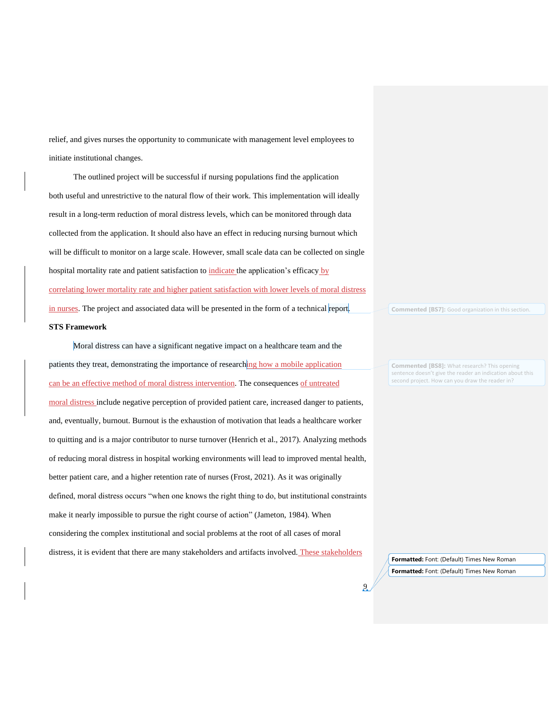relief, and gives nurses the opportunity to communicate with management level employees to initiate institutional changes.

The outlined project will be successful if nursing populations find the application both useful and unrestrictive to the natural flow of their work. This implementation will ideally result in a long-term reduction of moral distress levels, which can be monitored through data collected from the application. It should also have an effect in reducing nursing burnout which will be difficult to monitor on a large scale. However, small scale data can be collected on single hospital mortality rate and patient satisfaction to indicate the application's efficacy by correlating lower mortality rate and higher patient satisfaction with lower levels of moral distress in nurses. The project and associated data will be presented in the form of a technical report. **STS Framework**

Moral distress can have a significant negative impact on a healthcare team and the patients they treat, demonstrating the importance of researching how a mobile application can be an effective method of moral distress intervention. The consequences of untreated moral distress include negative perception of provided patient care, increased danger to patients, and, eventually, burnout. Burnout is the exhaustion of motivation that leads a healthcare worker to quitting and is a major contributor to nurse turnover (Henrich et al., 2017). Analyzing methods of reducing moral distress in hospital working environments will lead to improved mental health, better patient care, and a higher retention rate of nurses (Frost, 2021). As it was originally defined, moral distress occurs "when one knows the right thing to do, but institutional constraints make it nearly impossible to pursue the right course of action" (Jameton, 1984). When considering the complex institutional and social problems at the root of all cases of moral distress, it is evident that there are many stakeholders and artifacts involved. These stakeholders

**Commented [BS7]:** Good organization in this section.

**Commented [BS8]:** What research? This opening sentence doesn't give the reader an indication about this second project. How can you draw the reader in?

**Formatted:** Font: (Default) Times New Roman **Formatted:** Font: (Default) Times New Roman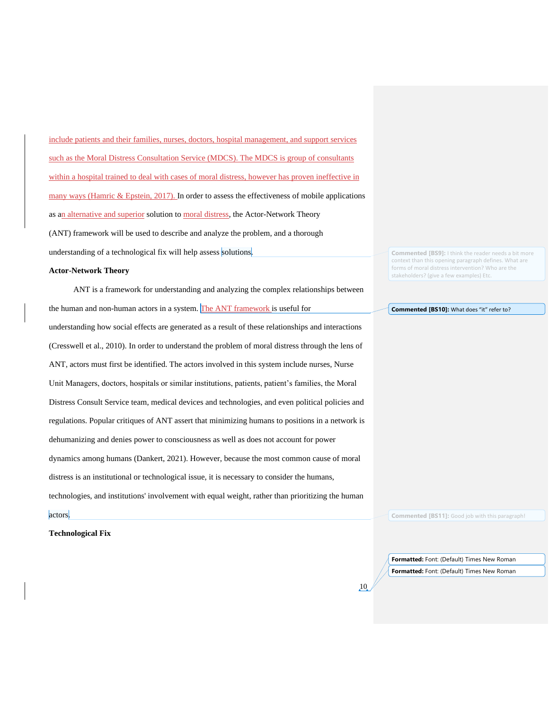include patients and their families, nurses, doctors, hospital management, and support services such as the Moral Distress Consultation Service (MDCS). The MDCS is group of consultants within a hospital trained to deal with cases of moral distress, however has proven ineffective in many ways (Hamric  $\&$  Epstein, 2017). In order to assess the effectiveness of mobile applications as an alternative and superior solution to moral distress, the Actor-Network Theory (ANT) framework will be used to describe and analyze the problem, and a thorough understanding of a technological fix will help assess solutions.

## **Actor-Network Theory**

ANT is a framework for understanding and analyzing the complex relationships between the human and non-human actors in a system. The ANT framework is useful for understanding how social effects are generated as a result of these relationships and interactions (Cresswell et al., 2010). In order to understand the problem of moral distress through the lens of ANT, actors must first be identified. The actors involved in this system include nurses, Nurse Unit Managers, doctors, hospitals or similar institutions, patients, patient's families, the Moral Distress Consult Service team, medical devices and technologies, and even political policies and regulations. Popular critiques of ANT assert that minimizing humans to positions in a network is dehumanizing and denies power to consciousness as well as does not account for power dynamics among humans (Dankert, 2021). However, because the most common cause of moral distress is an institutional or technological issue, it is necessary to consider the humans, technologies, and institutions' involvement with equal weight, rather than prioritizing the human

**Commented [BS9]:** I think the reader needs a bit more context than this opening paragraph defines. What are forms of moral distress intervention? Who are the stakeholders? (give a few examples) Etc.

#### **Commented [BS10]:** What does "it" refer to?

**Commented [BS11]:** Good job with this paragraph!

**Technological Fix**

actors.

**Formatted:** Font: (Default) Times New Roman **Formatted:** Font: (Default) Times New Roman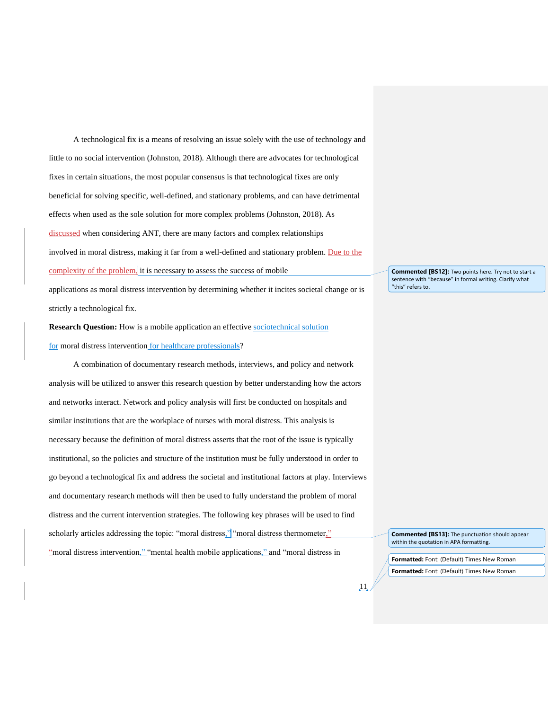A technological fix is a means of resolving an issue solely with the use of technology and little to no social intervention (Johnston, 2018). Although there are advocates for technological fixes in certain situations, the most popular consensus is that technological fixes are only beneficial for solving specific, well-defined, and stationary problems, and can have detrimental effects when used as the sole solution for more complex problems (Johnston, 2018). As discussed when considering ANT, there are many factors and complex relationships involved in moral distress, making it far from a well-defined and stationary problem. Due to the complexity of the problem, it is necessary to assess the success of mobile applications as moral distress intervention by determining whether it incites societal change or is

strictly a technological fix.

**Research Question:** How is a mobile application an effective sociotechnical solution for moral distress intervention for healthcare professionals?

A combination of documentary research methods, interviews, and policy and network analysis will be utilized to answer this research question by better understanding how the actors and networks interact. Network and policy analysis will first be conducted on hospitals and similar institutions that are the workplace of nurses with moral distress. This analysis is necessary because the definition of moral distress asserts that the root of the issue is typically institutional, so the policies and structure of the institution must be fully understood in order to go beyond a technological fix and address the societal and institutional factors at play. Interviews and documentary research methods will then be used to fully understand the problem of moral distress and the current intervention strategies. The following key phrases will be used to find scholarly articles addressing the topic: "moral distress," "moral distress thermometer," "moral distress intervention," "mental health mobile applications," and "moral distress in

**Commented [BS12]:** Two points here. Try not to start a sentence with "because" in formal writing. Clarify what "this" refers to.

**Commented [BS13]:** The punctuation should appear within the quotation in APA formatting.

**Formatted:** Font: (Default) Times New Roman **Formatted:** Font: (Default) Times New Roman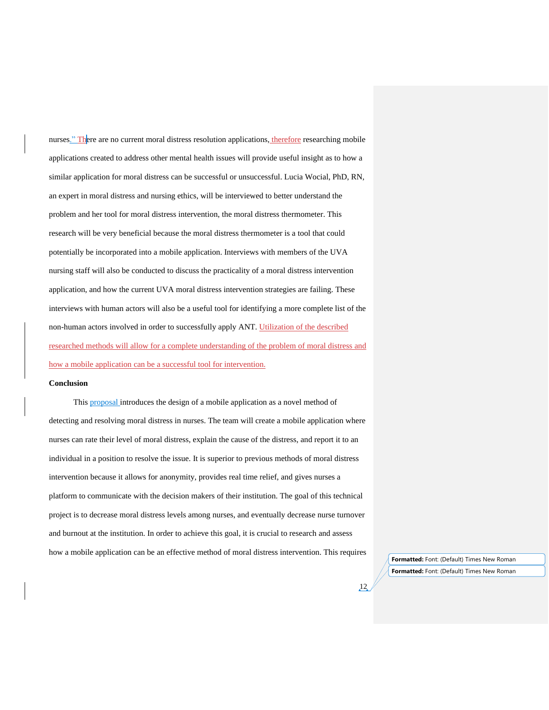nurses." There are no current moral distress resolution applications, therefore researching mobile applications created to address other mental health issues will provide useful insight as to how a similar application for moral distress can be successful or unsuccessful. Lucia Wocial, PhD, RN, an expert in moral distress and nursing ethics, will be interviewed to better understand the problem and her tool for moral distress intervention, the moral distress thermometer. This research will be very beneficial because the moral distress thermometer is a tool that could potentially be incorporated into a mobile application. Interviews with members of the UVA nursing staff will also be conducted to discuss the practicality of a moral distress intervention application, and how the current UVA moral distress intervention strategies are failing. These interviews with human actors will also be a useful tool for identifying a more complete list of the non-human actors involved in order to successfully apply ANT. Utilization of the described researched methods will allow for a complete understanding of the problem of moral distress and how a mobile application can be a successful tool for intervention.

## **Conclusion**

This proposal introduces the design of a mobile application as a novel method of detecting and resolving moral distress in nurses. The team will create a mobile application where nurses can rate their level of moral distress, explain the cause of the distress, and report it to an individual in a position to resolve the issue. It is superior to previous methods of moral distress intervention because it allows for anonymity, provides real time relief, and gives nurses a platform to communicate with the decision makers of their institution. The goal of this technical project is to decrease moral distress levels among nurses, and eventually decrease nurse turnover and burnout at the institution. In order to achieve this goal, it is crucial to research and assess how a mobile application can be an effective method of moral distress intervention. This requires

**Formatted:** Font: (Default) Times New Roman **Formatted:** Font: (Default) Times New Roman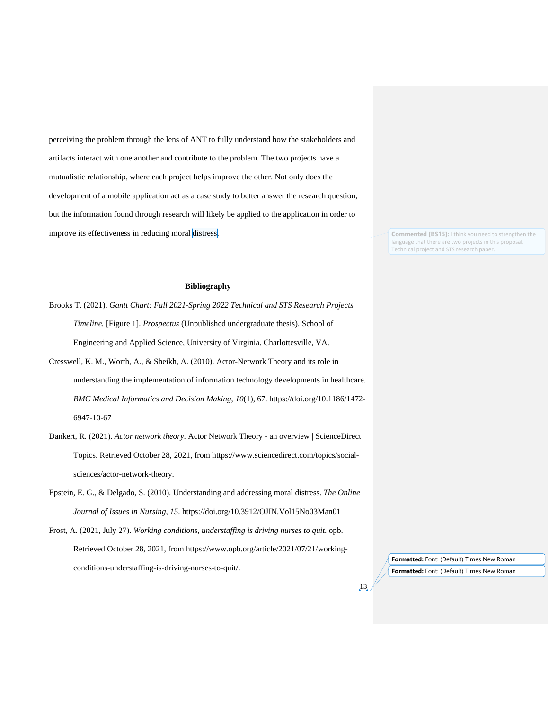perceiving the problem through the lens of ANT to fully understand how the stakeholders and artifacts interact with one another and contribute to the problem. The two projects have a mutualistic relationship, where each project helps improve the other. Not only does the development of a mobile application act as a case study to better answer the research question, but the information found through research will likely be applied to the application in order to improve its effectiveness in reducing moral distress.

**Commented [BS15]:** I think you need to strengthen the language that there are two projects in this proposal. Technical project and STS research paper.

## **Bibliography**

- Brooks T. (2021). *Gantt Chart: Fall 2021-Spring 2022 Technical and STS Research Projects Timeline.* [Figure 1]. *Prospectus* (Unpublished undergraduate thesis). School of Engineering and Applied Science, University of Virginia. Charlottesville, VA.
- Cresswell, K. M., Worth, A., & Sheikh, A. (2010). Actor-Network Theory and its role in understanding the implementation of information technology developments in healthcare. *BMC Medical Informatics and Decision Making*, *10*(1), 67. https://doi.org/10.1186/1472- 6947-10-67
- Dankert, R. (2021). *Actor network theory*. Actor Network Theory an overview | ScienceDirect Topics. Retrieved October 28, 2021, from https://www.sciencedirect.com/topics/socialsciences/actor-network-theory.
- Epstein, E. G., & Delgado, S. (2010). Understanding and addressing moral distress. *The Online Journal of Issues in Nursing*, *15*. https://doi.org/10.3912/OJIN.Vol15No03Man01
- Frost, A. (2021, July 27). *Working conditions, understaffing is driving nurses to quit*. opb. Retrieved October 28, 2021, from https://www.opb.org/article/2021/07/21/workingconditions-understaffing-is-driving-nurses-to-quit/.

**Formatted:** Font: (Default) Times New Roman **Formatted:** Font: (Default) Times New Roman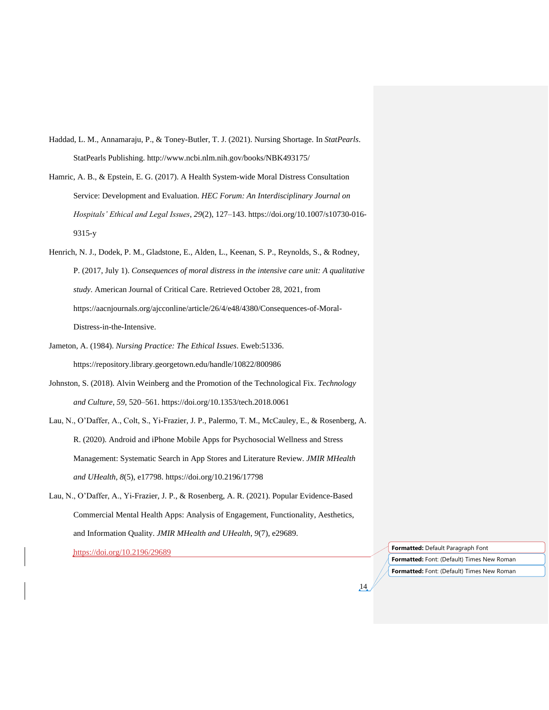- Haddad, L. M., Annamaraju, P., & Toney-Butler, T. J. (2021). Nursing Shortage. In *StatPearls*. StatPearls Publishing. http://www.ncbi.nlm.nih.gov/books/NBK493175/
- Hamric, A. B., & Epstein, E. G. (2017). A Health System-wide Moral Distress Consultation Service: Development and Evaluation. *HEC Forum: An Interdisciplinary Journal on Hospitals' Ethical and Legal Issues*, *29*(2), 127–143. https://doi.org/10.1007/s10730-016- 9315-y
- Henrich, N. J., Dodek, P. M., Gladstone, E., Alden, L., Keenan, S. P., Reynolds, S., & Rodney, P. (2017, July 1). *Consequences of moral distress in the intensive care unit: A qualitative study*. American Journal of Critical Care. Retrieved October 28, 2021, from https://aacnjournals.org/ajcconline/article/26/4/e48/4380/Consequences-of-Moral-Distress-in-the-Intensive.
- Jameton, A. (1984). *Nursing Practice: The Ethical Issues*. Eweb:51336. https://repository.library.georgetown.edu/handle/10822/800986
- Johnston, S. (2018). Alvin Weinberg and the Promotion of the Technological Fix. *Technology and Culture*, *59*, 520–561. https://doi.org/10.1353/tech.2018.0061
- Lau, N., O'Daffer, A., Colt, S., Yi-Frazier, J. P., Palermo, T. M., McCauley, E., & Rosenberg, A. R. (2020). Android and iPhone Mobile Apps for Psychosocial Wellness and Stress Management: Systematic Search in App Stores and Literature Review. *JMIR MHealth and UHealth*, *8*(5), e17798. https://doi.org/10.2196/17798
- Lau, N., O'Daffer, A., Yi-Frazier, J. P., & Rosenberg, A. R. (2021). Popular Evidence-Based Commercial Mental Health Apps: Analysis of Engagement, Functionality, Aesthetics, and Information Quality. *JMIR MHealth and UHealth*, *9*(7), e29689.

https://doi.org/10.2196/29689 **Formatted:** Default Paragraph Font

14

**Formatted:** Font: (Default) Times New Roman **Formatted:** Font: (Default) Times New Roman